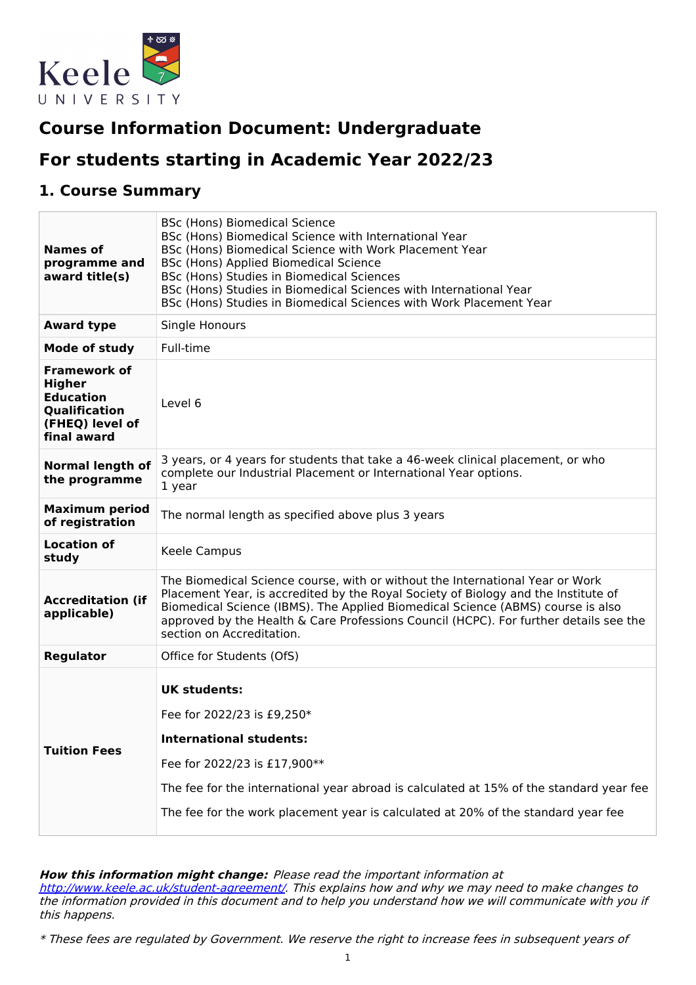

# **Course Information Document: Undergraduate**

# **For students starting in Academic Year 2022/23**

## **1. Course Summary**

| <b>Names of</b><br>programme and<br>award title(s)                                                          | BSc (Hons) Biomedical Science<br>BSc (Hons) Biomedical Science with International Year<br>BSc (Hons) Biomedical Science with Work Placement Year<br>BSc (Hons) Applied Biomedical Science<br>BSc (Hons) Studies in Biomedical Sciences<br>BSc (Hons) Studies in Biomedical Sciences with International Year<br>BSc (Hons) Studies in Biomedical Sciences with Work Placement Year |
|-------------------------------------------------------------------------------------------------------------|-----------------------------------------------------------------------------------------------------------------------------------------------------------------------------------------------------------------------------------------------------------------------------------------------------------------------------------------------------------------------------------|
| <b>Award type</b>                                                                                           | Single Honours                                                                                                                                                                                                                                                                                                                                                                    |
| <b>Mode of study</b>                                                                                        | Full-time                                                                                                                                                                                                                                                                                                                                                                         |
| <b>Framework of</b><br><b>Higher</b><br><b>Education</b><br>Qualification<br>(FHEQ) level of<br>final award | Level 6                                                                                                                                                                                                                                                                                                                                                                           |
| <b>Normal length of</b><br>the programme                                                                    | 3 years, or 4 years for students that take a 46-week clinical placement, or who<br>complete our Industrial Placement or International Year options.<br>1 year                                                                                                                                                                                                                     |
| <b>Maximum period</b><br>of registration                                                                    | The normal length as specified above plus 3 years                                                                                                                                                                                                                                                                                                                                 |
| <b>Location of</b><br>study                                                                                 | Keele Campus                                                                                                                                                                                                                                                                                                                                                                      |
| <b>Accreditation (if</b><br>applicable)                                                                     | The Biomedical Science course, with or without the International Year or Work<br>Placement Year, is accredited by the Royal Society of Biology and the Institute of<br>Biomedical Science (IBMS). The Applied Biomedical Science (ABMS) course is also<br>approved by the Health & Care Professions Council (HCPC). For further details see the<br>section on Accreditation.      |
| <b>Regulator</b>                                                                                            | Office for Students (OfS)                                                                                                                                                                                                                                                                                                                                                         |
| <b>Tuition Fees</b>                                                                                         | <b>UK students:</b><br>Fee for 2022/23 is £9,250*<br><b>International students:</b><br>Fee for 2022/23 is £17,900**<br>The fee for the international year abroad is calculated at 15% of the standard year fee<br>The fee for the work placement year is calculated at 20% of the standard year fee                                                                               |

### **How this information might change:** Please read the important information at

<http://www.keele.ac.uk/student-agreement/>. This explains how and why we may need to make changes to the information provided in this document and to help you understand how we will communicate with you if this happens.

\* These fees are regulated by Government. We reserve the right to increase fees in subsequent years of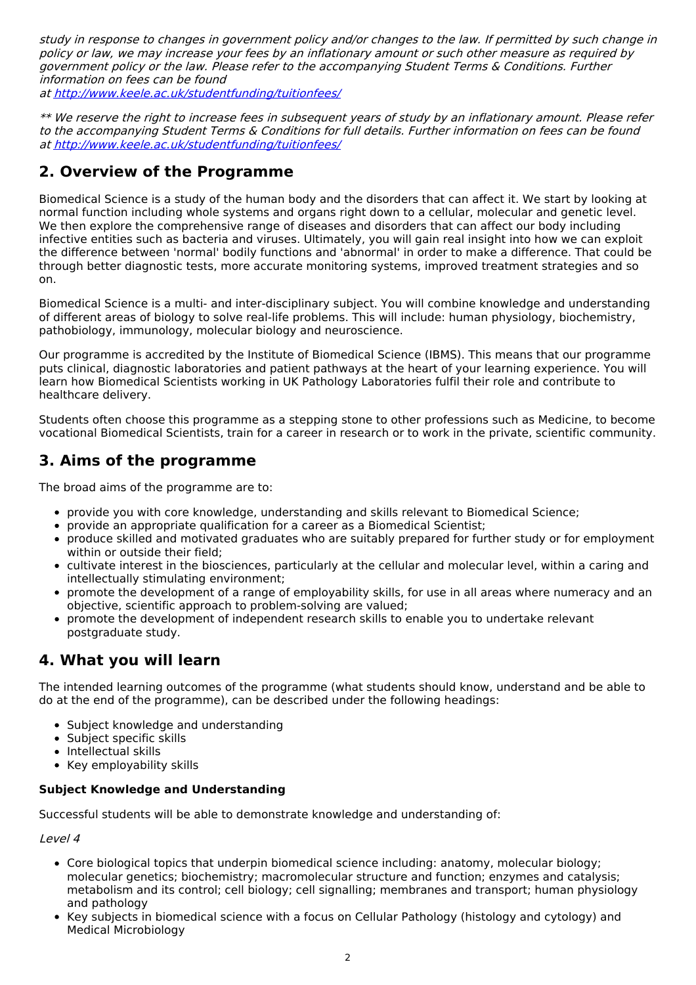study in response to changes in government policy and/or changes to the law. If permitted by such change in policy or law, we may increase your fees by an inflationary amount or such other measure as required by government policy or the law. Please refer to the accompanying Student Terms & Conditions. Further information on fees can be found

at <http://www.keele.ac.uk/studentfunding/tuitionfees/>

\*\* We reserve the right to increase fees in subsequent years of study by an inflationary amount. Please refer to the accompanying Student Terms & Conditions for full details. Further information on fees can be found at <http://www.keele.ac.uk/studentfunding/tuitionfees/>

# **2. Overview of the Programme**

Biomedical Science is a study of the human body and the disorders that can affect it. We start by looking at normal function including whole systems and organs right down to a cellular, molecular and genetic level. We then explore the comprehensive range of diseases and disorders that can affect our body including infective entities such as bacteria and viruses. Ultimately, you will gain real insight into how we can exploit the difference between 'normal' bodily functions and 'abnormal' in order to make a difference. That could be through better diagnostic tests, more accurate monitoring systems, improved treatment strategies and so on.

Biomedical Science is a multi- and inter-disciplinary subject. You will combine knowledge and understanding of different areas of biology to solve real-life problems. This will include: human physiology, biochemistry, pathobiology, immunology, molecular biology and neuroscience.

Our programme is accredited by the Institute of Biomedical Science (IBMS). This means that our programme puts clinical, diagnostic laboratories and patient pathways at the heart of your learning experience. You will learn how Biomedical Scientists working in UK Pathology Laboratories fulfil their role and contribute to healthcare delivery.

Students often choose this programme as a stepping stone to other professions such as Medicine, to become vocational Biomedical Scientists, train for a career in research or to work in the private, scientific community.

# **3. Aims of the programme**

The broad aims of the programme are to:

- provide you with core knowledge, understanding and skills relevant to Biomedical Science;
- provide an appropriate qualification for a career as a Biomedical Scientist;
- produce skilled and motivated graduates who are suitably prepared for further study or for employment within or outside their field;
- cultivate interest in the biosciences, particularly at the cellular and molecular level, within a caring and intellectually stimulating environment;
- promote the development of a range of employability skills, for use in all areas where numeracy and an objective, scientific approach to problem-solving are valued;
- promote the development of independent research skills to enable you to undertake relevant postgraduate study.

# **4. What you will learn**

The intended learning outcomes of the programme (what students should know, understand and be able to do at the end of the programme), can be described under the following headings:

- Subject knowledge and understanding
- Subject specific skills
- Intellectual skills
- Key employability skills

### **Subject Knowledge and Understanding**

Successful students will be able to demonstrate knowledge and understanding of:

Level 4

- Core biological topics that underpin biomedical science including: anatomy, molecular biology; molecular genetics; biochemistry; macromolecular structure and function; enzymes and catalysis; metabolism and its control; cell biology; cell signalling; membranes and transport; human physiology and pathology
- Key subjects in biomedical science with a focus on Cellular Pathology (histology and cytology) and Medical Microbiology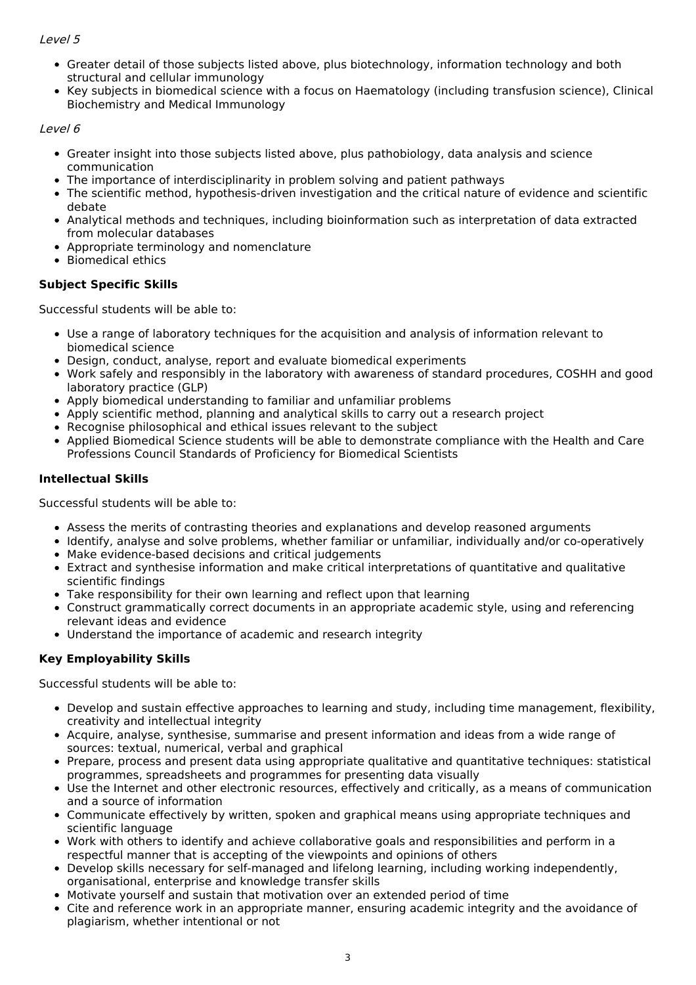### Level 5

- Greater detail of those subjects listed above, plus biotechnology, information technology and both structural and cellular immunology
- Key subjects in biomedical science with a focus on Haematology (including transfusion science), Clinical Biochemistry and Medical Immunology

### Level 6

- Greater insight into those subjects listed above, plus pathobiology, data analysis and science communication
- The importance of interdisciplinarity in problem solving and patient pathways
- The scientific method, hypothesis-driven investigation and the critical nature of evidence and scientific debate
- Analytical methods and techniques, including bioinformation such as interpretation of data extracted from molecular databases
- Appropriate terminology and nomenclature
- Biomedical ethics

### **Subject Specific Skills**

Successful students will be able to:

- Use a range of laboratory techniques for the acquisition and analysis of information relevant to biomedical science
- Design, conduct, analyse, report and evaluate biomedical experiments
- Work safely and responsibly in the laboratory with awareness of standard procedures, COSHH and good laboratory practice (GLP)
- Apply biomedical understanding to familiar and unfamiliar problems
- Apply scientific method, planning and analytical skills to carry out a research project
- Recognise philosophical and ethical issues relevant to the subject
- Applied Biomedical Science students will be able to demonstrate compliance with the Health and Care Professions Council Standards of Proficiency for Biomedical Scientists

### **Intellectual Skills**

Successful students will be able to:

- Assess the merits of contrasting theories and explanations and develop reasoned arguments
- Identify, analyse and solve problems, whether familiar or unfamiliar, individually and/or co-operatively
- Make evidence-based decisions and critical judgements
- Extract and synthesise information and make critical interpretations of quantitative and qualitative scientific findings
- Take responsibility for their own learning and reflect upon that learning
- Construct grammatically correct documents in an appropriate academic style, using and referencing relevant ideas and evidence
- Understand the importance of academic and research integrity

### **Key Employability Skills**

Successful students will be able to:

- Develop and sustain effective approaches to learning and study, including time management, flexibility, creativity and intellectual integrity
- Acquire, analyse, synthesise, summarise and present information and ideas from a wide range of sources: textual, numerical, verbal and graphical
- Prepare, process and present data using appropriate qualitative and quantitative techniques: statistical programmes, spreadsheets and programmes for presenting data visually
- Use the Internet and other electronic resources, effectively and critically, as a means of communication and a source of information
- Communicate effectively by written, spoken and graphical means using appropriate techniques and scientific language
- Work with others to identify and achieve collaborative goals and responsibilities and perform in a respectful manner that is accepting of the viewpoints and opinions of others
- Develop skills necessary for self-managed and lifelong learning, including working independently, organisational, enterprise and knowledge transfer skills
- Motivate yourself and sustain that motivation over an extended period of time
- Cite and reference work in an appropriate manner, ensuring academic integrity and the avoidance of plagiarism, whether intentional or not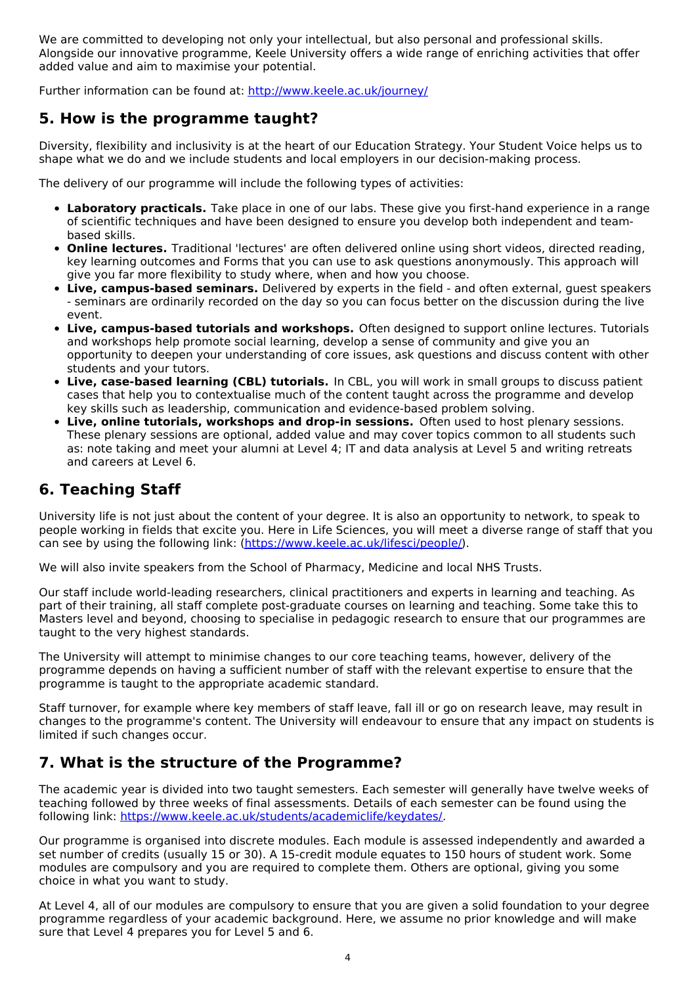We are committed to developing not only your intellectual, but also personal and professional skills. Alongside our innovative programme, Keele University offers a wide range of enriching activities that offer added value and aim to maximise your potential.

Further information can be found at: <http://www.keele.ac.uk/journey/>

## **5. How is the programme taught?**

Diversity, flexibility and inclusivity is at the heart of our Education Strategy. Your Student Voice helps us to shape what we do and we include students and local employers in our decision-making process.

The delivery of our programme will include the following types of activities:

- **Laboratory practicals.** Take place in one of our labs. These give you first-hand experience in a range of scientific techniques and have been designed to ensure you develop both independent and teambased skills.
- **Online lectures.** Traditional 'lectures' are often delivered online using short videos, directed reading, key learning outcomes and Forms that you can use to ask questions anonymously. This approach will give you far more flexibility to study where, when and how you choose.
- **Live, campus-based seminars.** Delivered by experts in the field and often external, guest speakers - seminars are ordinarily recorded on the day so you can focus better on the discussion during the live event.
- **Live, campus-based tutorials and workshops.** Often designed to support online lectures. Tutorials and workshops help promote social learning, develop a sense of community and give you an opportunity to deepen your understanding of core issues, ask questions and discuss content with other students and your tutors.
- **Live, case-based learning (CBL) tutorials.** In CBL, you will work in small groups to discuss patient cases that help you to contextualise much of the content taught across the programme and develop key skills such as leadership, communication and evidence-based problem solving.
- **Live, online tutorials, workshops and drop-in sessions.** Often used to host plenary sessions. These plenary sessions are optional, added value and may cover topics common to all students such as: note taking and meet your alumni at Level 4; IT and data analysis at Level 5 and writing retreats and careers at Level 6.

# **6. Teaching Staff**

University life is not just about the content of your degree. It is also an opportunity to network, to speak to people working in fields that excite you. Here in Life Sciences, you will meet a diverse range of staff that you can see by using the following link: [\(https://www.keele.ac.uk/lifesci/people/](https://www.keele.ac.uk/lifesci/people/)).

We will also invite speakers from the School of Pharmacy, Medicine and local NHS Trusts.

Our staff include world-leading researchers, clinical practitioners and experts in learning and teaching. As part of their training, all staff complete post-graduate courses on learning and teaching. Some take this to Masters level and beyond, choosing to specialise in pedagogic research to ensure that our programmes are taught to the very highest standards.

The University will attempt to minimise changes to our core teaching teams, however, delivery of the programme depends on having a sufficient number of staff with the relevant expertise to ensure that the programme is taught to the appropriate academic standard.

Staff turnover, for example where key members of staff leave, fall ill or go on research leave, may result in changes to the programme's content. The University will endeavour to ensure that any impact on students is limited if such changes occur.

# **7. What is the structure of the Programme?**

The academic year is divided into two taught semesters. Each semester will generally have twelve weeks of teaching followed by three weeks of final assessments. Details of each semester can be found using the following link: <https://www.keele.ac.uk/students/academiclife/keydates/>.

Our programme is organised into discrete modules. Each module is assessed independently and awarded a set number of credits (usually 15 or 30). A 15-credit module equates to 150 hours of student work. Some modules are compulsory and you are required to complete them. Others are optional, giving you some choice in what you want to study.

At Level 4, all of our modules are compulsory to ensure that you are given a solid foundation to your degree programme regardless of your academic background. Here, we assume no prior knowledge and will make sure that Level 4 prepares you for Level 5 and 6.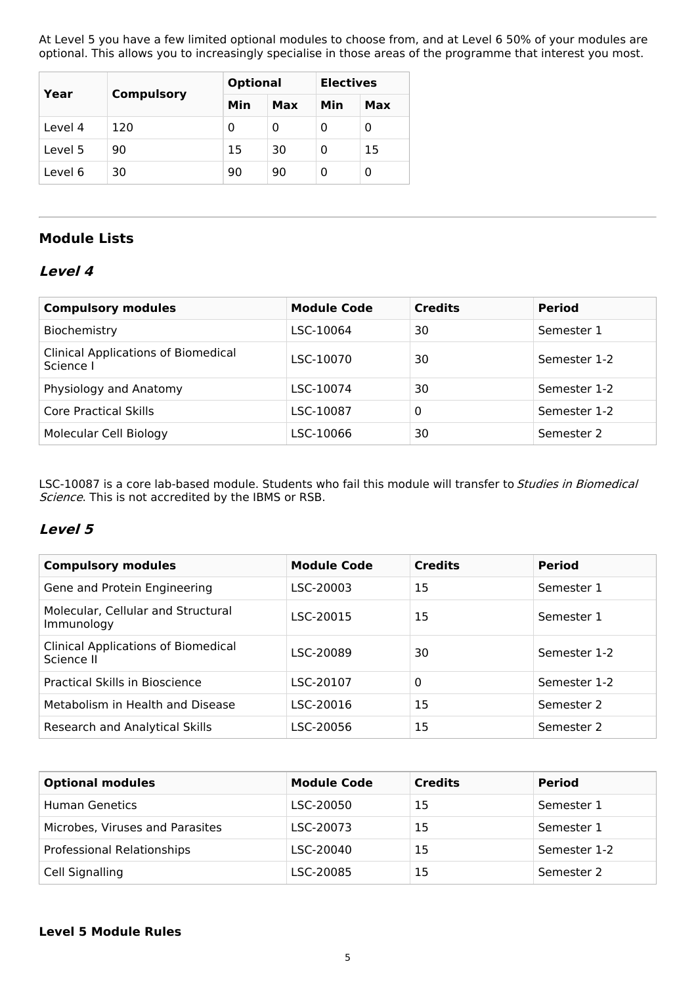At Level 5 you have a few limited optional modules to choose from, and at Level 6 50% of your modules are optional. This allows you to increasingly specialise in those areas of the programme that interest you most.

| Year    |                   | <b>Optional</b> |     | <b>Electives</b> |     |
|---------|-------------------|-----------------|-----|------------------|-----|
|         | <b>Compulsory</b> | Min             | Max | Min              | Max |
| Level 4 | 120               | 0               | 0   | 0                | 0   |
| Level 5 | 90                | 15              | 30  | 0                | 15  |
| Level 6 | 30                | 90              | 90  | 0                | 0   |

## **Module Lists**

## **Level 4**

| <b>Compulsory modules</b>                               | <b>Module Code</b> | <b>Credits</b> | <b>Period</b> |
|---------------------------------------------------------|--------------------|----------------|---------------|
| Biochemistry                                            | LSC-10064          | 30             | Semester 1    |
| <b>Clinical Applications of Biomedical</b><br>Science I | LSC-10070          | 30             | Semester 1-2  |
| Physiology and Anatomy                                  | LSC-10074          | 30             | Semester 1-2  |
| Core Practical Skills                                   | LSC-10087          | 0              | Semester 1-2  |
| Molecular Cell Biology                                  | LSC-10066          | 30             | Semester 2    |

LSC-10087 is a core lab-based module. Students who fail this module will transfer to Studies in Biomedical Science. This is not accredited by the IBMS or RSB.

## **Level 5**

| <b>Compulsory modules</b>                                | <b>Module Code</b> | <b>Credits</b> | <b>Period</b> |
|----------------------------------------------------------|--------------------|----------------|---------------|
| Gene and Protein Engineering                             | LSC-20003          | 15             | Semester 1    |
| Molecular, Cellular and Structural<br>Immunology         | LSC-20015          | 15             | Semester 1    |
| <b>Clinical Applications of Biomedical</b><br>Science II | LSC-20089          | 30             | Semester 1-2  |
| Practical Skills in Bioscience                           | LSC-20107          | $\mathbf{0}$   | Semester 1-2  |
| Metabolism in Health and Disease                         | LSC-20016          | 15             | Semester 2    |
| Research and Analytical Skills                           | LSC-20056          | 15             | Semester 2    |

| <b>Optional modules</b>         | <b>Module Code</b> | <b>Credits</b> | <b>Period</b> |
|---------------------------------|--------------------|----------------|---------------|
| <b>Human Genetics</b>           | LSC-20050          | 15             | Semester 1    |
| Microbes, Viruses and Parasites | LSC-20073          | 15             | Semester 1    |
| Professional Relationships      | LSC-20040          | 15             | Semester 1-2  |
| Cell Signalling                 | LSC-20085          | 15             | Semester 2    |

### **Level 5 Module Rules**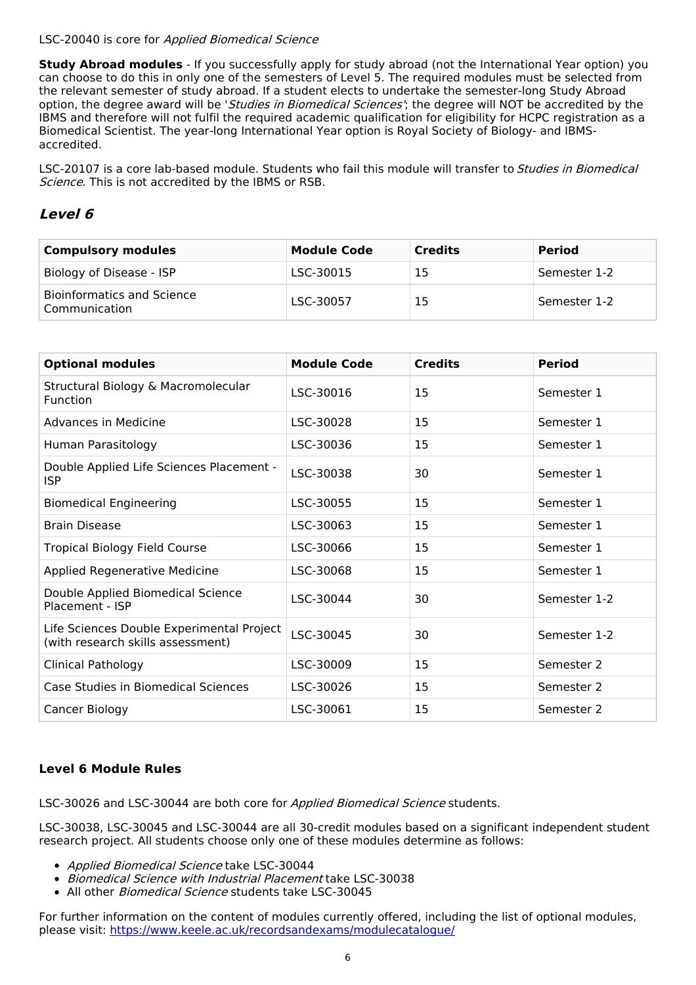### LSC-20040 is core for Applied Biomedical Science

**Study Abroad modules** - If you successfully apply for study abroad (not the International Year option) you can choose to do this in only one of the semesters of Level 5. The required modules must be selected from the relevant semester of study abroad. If a student elects to undertake the semester-long Study Abroad option, the degree award will be 'Studies in Biomedical Sciences'; the degree will NOT be accredited by the IBMS and therefore will not fulfil the required academic qualification for eligibility for HCPC registration as a Biomedical Scientist. The year-long International Year option is Royal Society of Biology- and IBMSaccredited.

LSC-20107 is a core lab-based module. Students who fail this module will transfer to Studies in Biomedical Science. This is not accredited by the IBMS or RSB.

## **Level 6**

| <b>Compulsory modules</b>                          | <b>Module Code</b> | <b>Credits</b> | <b>Period</b> |
|----------------------------------------------------|--------------------|----------------|---------------|
| Biology of Disease - ISP                           | LSC-30015          | 15             | Semester 1-2  |
| <b>Bioinformatics and Science</b><br>Communication | LSC-30057          | 15             | Semester 1-2  |

| <b>Optional modules</b>                                                        | <b>Module Code</b> | <b>Credits</b> | <b>Period</b> |
|--------------------------------------------------------------------------------|--------------------|----------------|---------------|
| Structural Biology & Macromolecular<br>Function                                | LSC-30016          | 15             | Semester 1    |
| Advances in Medicine                                                           | LSC-30028          | 15             | Semester 1    |
| Human Parasitology                                                             | LSC-30036          | 15             | Semester 1    |
| Double Applied Life Sciences Placement -<br><b>ISP</b>                         | LSC-30038          | 30             | Semester 1    |
| <b>Biomedical Engineering</b>                                                  | LSC-30055          | 15             | Semester 1    |
| <b>Brain Disease</b>                                                           | LSC-30063          | 15             | Semester 1    |
| <b>Tropical Biology Field Course</b>                                           | LSC-30066          | 15             | Semester 1    |
| Applied Regenerative Medicine                                                  | LSC-30068          | 15             | Semester 1    |
| Double Applied Biomedical Science<br>Placement - ISP                           | LSC-30044          | 30             | Semester 1-2  |
| Life Sciences Double Experimental Project<br>(with research skills assessment) | LSC-30045          | 30             | Semester 1-2  |
| <b>Clinical Pathology</b>                                                      | LSC-30009          | 15             | Semester 2    |
| Case Studies in Biomedical Sciences                                            | LSC-30026          | 15             | Semester 2    |
| Cancer Biology                                                                 | LSC-30061          | 15             | Semester 2    |

### **Level 6 Module Rules**

LSC-30026 and LSC-30044 are both core for Applied Biomedical Science students.

LSC-30038, LSC-30045 and LSC-30044 are all 30-credit modules based on a significant independent student research project. All students choose only one of these modules determine as follows:

- Applied Biomedical Science take LSC-30044
- Biomedical Science with Industrial Placement take LSC-30038
- All other *Biomedical Science* students take LSC-30045

For further information on the content of modules currently offered, including the list of optional modules, please visit: <https://www.keele.ac.uk/recordsandexams/modulecatalogue/>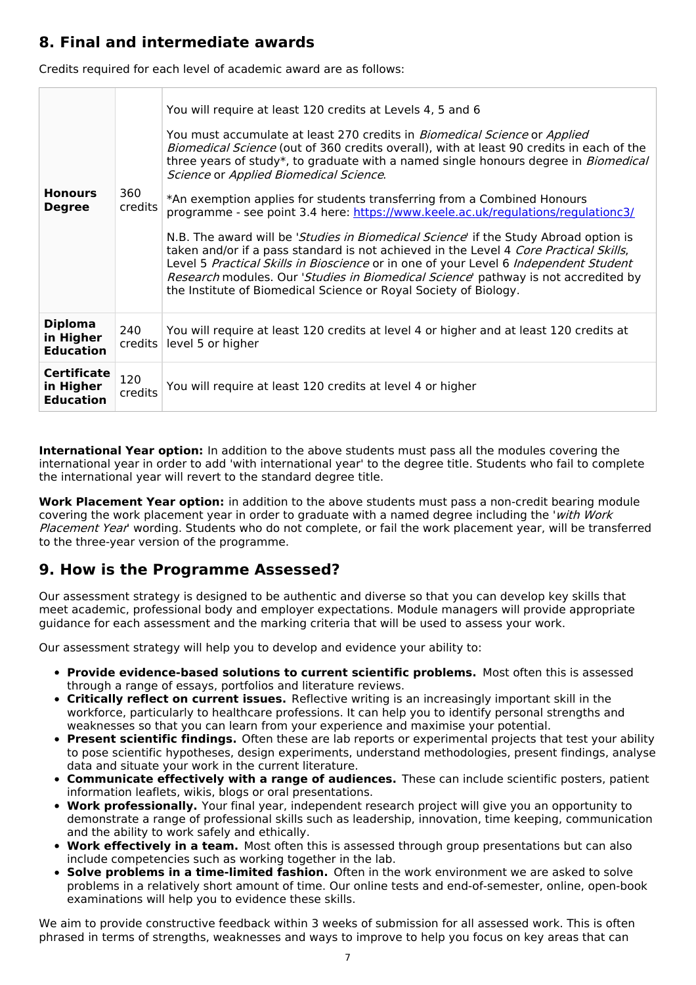# **8. Final and intermediate awards**

Credits required for each level of academic award are as follows:

| <b>Honours</b><br><b>Degree</b>                     | 360<br><i>credits</i> | You will require at least 120 credits at Levels 4, 5 and 6<br>You must accumulate at least 270 credits in <i>Biomedical Science</i> or Applied<br>Biomedical Science (out of 360 credits overall), with at least 90 credits in each of the<br>three years of study*, to graduate with a named single honours degree in <i>Biomedical</i><br>Science or Applied Biomedical Science.<br>*An exemption applies for students transferring from a Combined Honours<br>programme - see point 3.4 here: https://www.keele.ac.uk/regulations/regulationc3/<br>N.B. The award will be 'Studies in Biomedical Science' if the Study Abroad option is<br>taken and/or if a pass standard is not achieved in the Level 4 Core Practical Skills,<br>Level 5 Practical Skills in Bioscience or in one of your Level 6 Independent Student<br>Research modules. Our 'Studies in Biomedical Science' pathway is not accredited by<br>the Institute of Biomedical Science or Royal Society of Biology. |
|-----------------------------------------------------|-----------------------|---------------------------------------------------------------------------------------------------------------------------------------------------------------------------------------------------------------------------------------------------------------------------------------------------------------------------------------------------------------------------------------------------------------------------------------------------------------------------------------------------------------------------------------------------------------------------------------------------------------------------------------------------------------------------------------------------------------------------------------------------------------------------------------------------------------------------------------------------------------------------------------------------------------------------------------------------------------------------------------|
| <b>Diploma</b><br>in Higher<br><b>Education</b>     | 240<br>credits        | You will require at least 120 credits at level 4 or higher and at least 120 credits at<br>level 5 or higher                                                                                                                                                                                                                                                                                                                                                                                                                                                                                                                                                                                                                                                                                                                                                                                                                                                                           |
| <b>Certificate</b><br>in Higher<br><b>Education</b> | 120<br>credits        | You will require at least 120 credits at level 4 or higher                                                                                                                                                                                                                                                                                                                                                                                                                                                                                                                                                                                                                                                                                                                                                                                                                                                                                                                            |

**International Year option:** In addition to the above students must pass all the modules covering the international year in order to add 'with international year' to the degree title. Students who fail to complete the international year will revert to the standard degree title.

**Work Placement Year option:** in addition to the above students must pass a non-credit bearing module covering the work placement year in order to graduate with a named degree including the 'with Work Placement Year' wording. Students who do not complete, or fail the work placement year, will be transferred to the three-year version of the programme.

# **9. How is the Programme Assessed?**

Our assessment strategy is designed to be authentic and diverse so that you can develop key skills that meet academic, professional body and employer expectations. Module managers will provide appropriate guidance for each assessment and the marking criteria that will be used to assess your work.

Our assessment strategy will help you to develop and evidence your ability to:

- **Provide evidence-based solutions to current scientific problems.** Most often this is assessed through a range of essays, portfolios and literature reviews.
- **Critically reflect on current issues.** Reflective writing is an increasingly important skill in the workforce, particularly to healthcare professions. It can help you to identify personal strengths and weaknesses so that you can learn from your experience and maximise your potential.
- **Present scientific findings.** Often these are lab reports or experimental projects that test your ability to pose scientific hypotheses, design experiments, understand methodologies, present findings, analyse data and situate your work in the current literature.
- **Communicate effectively with a range of audiences.** These can include scientific posters, patient information leaflets, wikis, blogs or oral presentations.
- **Work professionally.** Your final year, independent research project will give you an opportunity to demonstrate a range of professional skills such as leadership, innovation, time keeping, communication and the ability to work safely and ethically.
- **Work effectively in a team.** Most often this is assessed through group presentations but can also include competencies such as working together in the lab.
- **Solve problems in a time-limited fashion.** Often in the work environment we are asked to solve problems in a relatively short amount of time. Our online tests and end-of-semester, online, open-book examinations will help you to evidence these skills.

We aim to provide constructive feedback within 3 weeks of submission for all assessed work. This is often phrased in terms of strengths, weaknesses and ways to improve to help you focus on key areas that can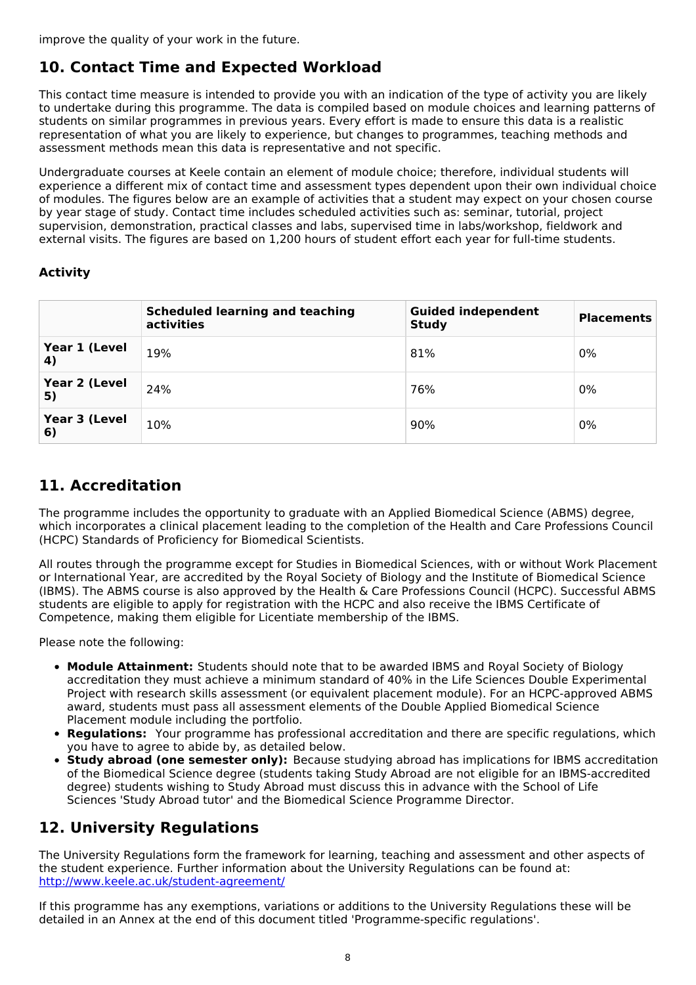improve the quality of your work in the future.

# **10. Contact Time and Expected Workload**

This contact time measure is intended to provide you with an indication of the type of activity you are likely to undertake during this programme. The data is compiled based on module choices and learning patterns of students on similar programmes in previous years. Every effort is made to ensure this data is a realistic representation of what you are likely to experience, but changes to programmes, teaching methods and assessment methods mean this data is representative and not specific.

Undergraduate courses at Keele contain an element of module choice; therefore, individual students will experience a different mix of contact time and assessment types dependent upon their own individual choice of modules. The figures below are an example of activities that a student may expect on your chosen course by year stage of study. Contact time includes scheduled activities such as: seminar, tutorial, project supervision, demonstration, practical classes and labs, supervised time in labs/workshop, fieldwork and external visits. The figures are based on 1,200 hours of student effort each year for full-time students.

### **Activity**

|                     | <b>Scheduled learning and teaching</b><br>activities | <b>Guided independent</b><br><b>Study</b> | <b>Placements</b> |
|---------------------|------------------------------------------------------|-------------------------------------------|-------------------|
| Year 1 (Level<br>4) | 19%                                                  | 81%                                       | 0%                |
| Year 2 (Level<br>5) | 24%                                                  | 76%                                       | 0%                |
| Year 3 (Level<br>6) | 10%                                                  | 90%                                       | 0%                |

## **11. Accreditation**

The programme includes the opportunity to graduate with an Applied Biomedical Science (ABMS) degree, which incorporates a clinical placement leading to the completion of the Health and Care Professions Council (HCPC) Standards of Proficiency for Biomedical Scientists.

All routes through the programme except for Studies in Biomedical Sciences, with or without Work Placement or International Year, are accredited by the Royal Society of Biology and the Institute of Biomedical Science (IBMS). The ABMS course is also approved by the Health & Care Professions Council (HCPC). Successful ABMS students are eligible to apply for registration with the HCPC and also receive the IBMS Certificate of Competence, making them eligible for Licentiate membership of the IBMS.

Please note the following:

- **Module Attainment:** Students should note that to be awarded IBMS and Royal Society of Biology accreditation they must achieve a minimum standard of 40% in the Life Sciences Double Experimental Project with research skills assessment (or equivalent placement module). For an HCPC-approved ABMS award, students must pass all assessment elements of the Double Applied Biomedical Science Placement module including the portfolio.
- **Regulations:** Your programme has professional accreditation and there are specific regulations, which you have to agree to abide by, as detailed below.
- **Study abroad (one semester only):** Because studying abroad has implications for IBMS accreditation of the Biomedical Science degree (students taking Study Abroad are not eligible for an IBMS-accredited degree) students wishing to Study Abroad must discuss this in advance with the School of Life Sciences 'Study Abroad tutor' and the Biomedical Science Programme Director.

# **12. University Regulations**

The University Regulations form the framework for learning, teaching and assessment and other aspects of the student experience. Further information about the University Regulations can be found at: <http://www.keele.ac.uk/student-agreement/>

If this programme has any exemptions, variations or additions to the University Regulations these will be detailed in an Annex at the end of this document titled 'Programme-specific regulations'.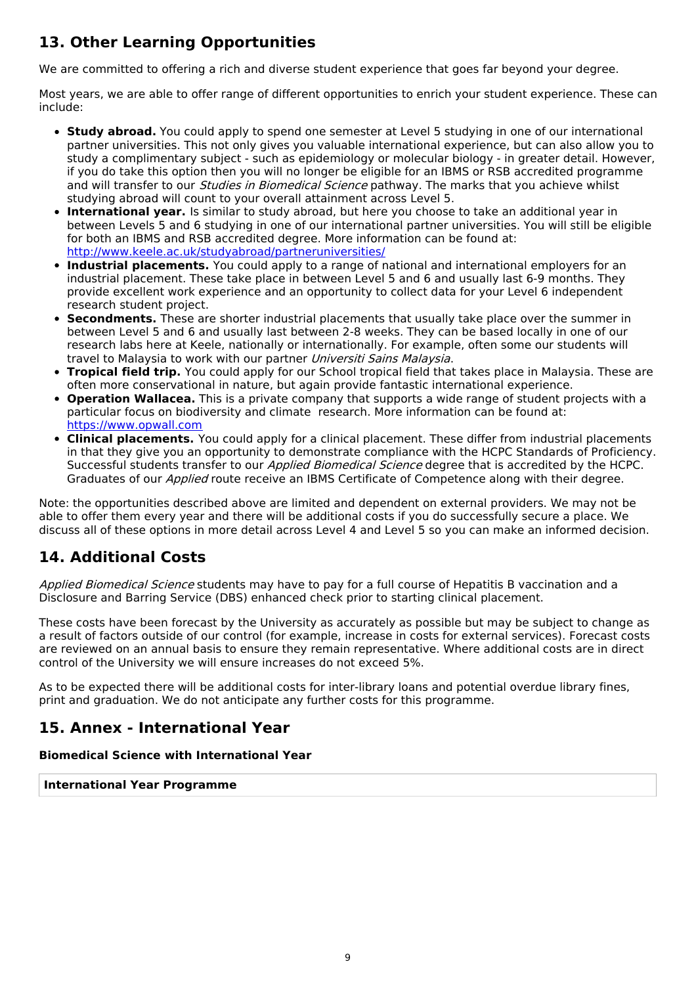# **13. Other Learning Opportunities**

We are committed to offering a rich and diverse student experience that goes far beyond your degree.

Most years, we are able to offer range of different opportunities to enrich your student experience. These can include:

- **Study abroad.** You could apply to spend one semester at Level 5 studying in one of our international partner universities. This not only gives you valuable international experience, but can also allow you to study a complimentary subject - such as epidemiology or molecular biology - in greater detail. However, if you do take this option then you will no longer be eligible for an IBMS or RSB accredited programme and will transfer to our *Studies in Biomedical Science* pathway. The marks that you achieve whilst studying abroad will count to your overall attainment across Level 5.
- **International year.** Is similar to study abroad, but here you choose to take an additional year in between Levels 5 and 6 studying in one of our international partner universities. You will still be eligible for both an IBMS and RSB accredited degree. More information can be found at: <http://www.keele.ac.uk/studyabroad/partneruniversities/>
- **Industrial placements.** You could apply to a range of national and international employers for an industrial placement. These take place in between Level 5 and 6 and usually last 6-9 months. They provide excellent work experience and an opportunity to collect data for your Level 6 independent research student project.
- **Secondments.** These are shorter industrial placements that usually take place over the summer in between Level 5 and 6 and usually last between 2-8 weeks. They can be based locally in one of our research labs here at Keele, nationally or internationally. For example, often some our students will travel to Malaysia to work with our partner Universiti Sains Malaysia.
- **Tropical field trip.** You could apply for our School tropical field that takes place in Malaysia. These are often more conservational in nature, but again provide fantastic international experience.
- **Operation Wallacea.** This is a private company that supports a wide range of student projects with a particular focus on biodiversity and climate research. More information can be found at: [https://www.opwall.com](https://www.opwall.com/)
- **Clinical placements.** You could apply for a clinical placement. These differ from industrial placements in that they give you an opportunity to demonstrate compliance with the HCPC Standards of Proficiency. Successful students transfer to our *Applied Biomedical Science* degree that is accredited by the HCPC. Graduates of our Applied route receive an IBMS Certificate of Competence along with their degree.

Note: the opportunities described above are limited and dependent on external providers. We may not be able to offer them every year and there will be additional costs if you do successfully secure a place. We discuss all of these options in more detail across Level 4 and Level 5 so you can make an informed decision.

# **14. Additional Costs**

Applied Biomedical Science students may have to pay for a full course of Hepatitis B vaccination and a Disclosure and Barring Service (DBS) enhanced check prior to starting clinical placement.

These costs have been forecast by the University as accurately as possible but may be subject to change as a result of factors outside of our control (for example, increase in costs for external services). Forecast costs are reviewed on an annual basis to ensure they remain representative. Where additional costs are in direct control of the University we will ensure increases do not exceed 5%.

As to be expected there will be additional costs for inter-library loans and potential overdue library fines, print and graduation. We do not anticipate any further costs for this programme.

# **15. Annex - International Year**

### **Biomedical Science with International Year**

**International Year Programme**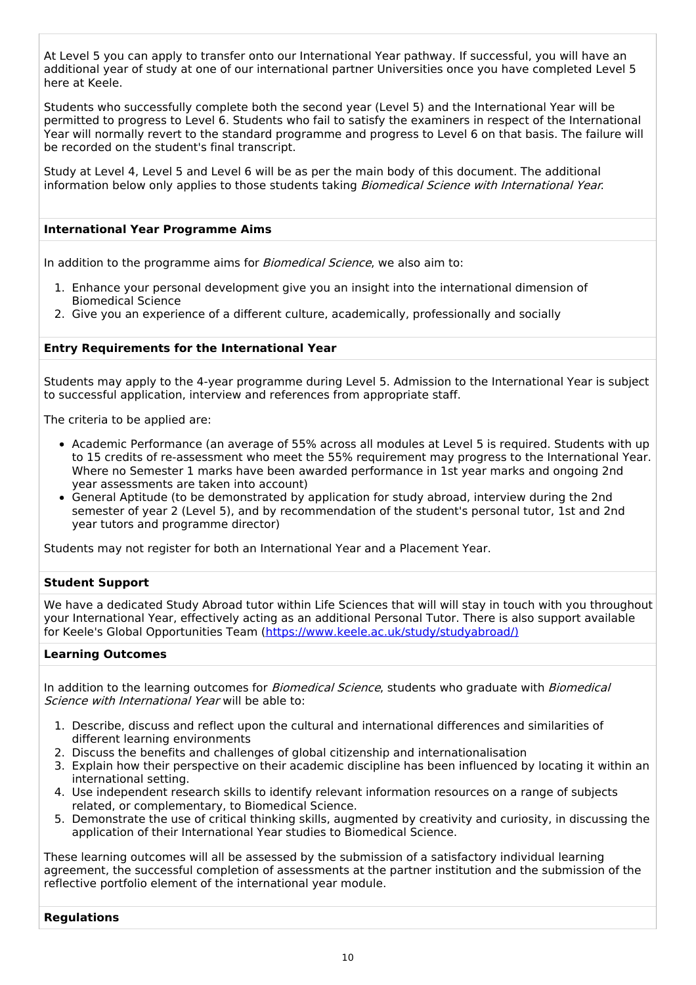At Level 5 you can apply to transfer onto our International Year pathway. If successful, you will have an additional year of study at one of our international partner Universities once you have completed Level 5 here at Keele.

Students who successfully complete both the second year (Level 5) and the International Year will be permitted to progress to Level 6. Students who fail to satisfy the examiners in respect of the International Year will normally revert to the standard programme and progress to Level 6 on that basis. The failure will be recorded on the student's final transcript.

Study at Level 4, Level 5 and Level 6 will be as per the main body of this document. The additional information below only applies to those students taking Biomedical Science with International Year.

### **International Year Programme Aims**

In addition to the programme aims for *Biomedical Science*, we also aim to:

- 1. Enhance your personal development give you an insight into the international dimension of Biomedical Science
- 2. Give you an experience of a different culture, academically, professionally and socially

### **Entry Requirements for the International Year**

Students may apply to the 4-year programme during Level 5. Admission to the International Year is subject to successful application, interview and references from appropriate staff.

The criteria to be applied are:

- Academic Performance (an average of 55% across all modules at Level 5 is required. Students with up to 15 credits of re-assessment who meet the 55% requirement may progress to the International Year. Where no Semester 1 marks have been awarded performance in 1st year marks and ongoing 2nd year assessments are taken into account)
- General Aptitude (to be demonstrated by application for study abroad, interview during the 2nd semester of year 2 (Level 5), and by recommendation of the student's personal tutor, 1st and 2nd year tutors and programme director)

Students may not register for both an International Year and a Placement Year.

### **Student Support**

We have a dedicated Study Abroad tutor within Life Sciences that will will stay in touch with you throughout your International Year, effectively acting as an additional Personal Tutor. There is also support available for Keele's Global Opportunities Team [\(https://www.keele.ac.uk/study/studyabroad/\)](https://www.keele.ac.uk/study/studyabroad/)

#### **Learning Outcomes**

In addition to the learning outcomes for *Biomedical Science*, students who graduate with *Biomedical* Science with International Year will be able to:

- 1. Describe, discuss and reflect upon the cultural and international differences and similarities of different learning environments
- 2. Discuss the benefits and challenges of global citizenship and internationalisation
- 3. Explain how their perspective on their academic discipline has been influenced by locating it within an international setting.
- 4. Use independent research skills to identify relevant information resources on a range of subjects related, or complementary, to Biomedical Science.
- 5. Demonstrate the use of critical thinking skills, augmented by creativity and curiosity, in discussing the application of their International Year studies to Biomedical Science.

These learning outcomes will all be assessed by the submission of a satisfactory individual learning agreement, the successful completion of assessments at the partner institution and the submission of the reflective portfolio element of the international year module.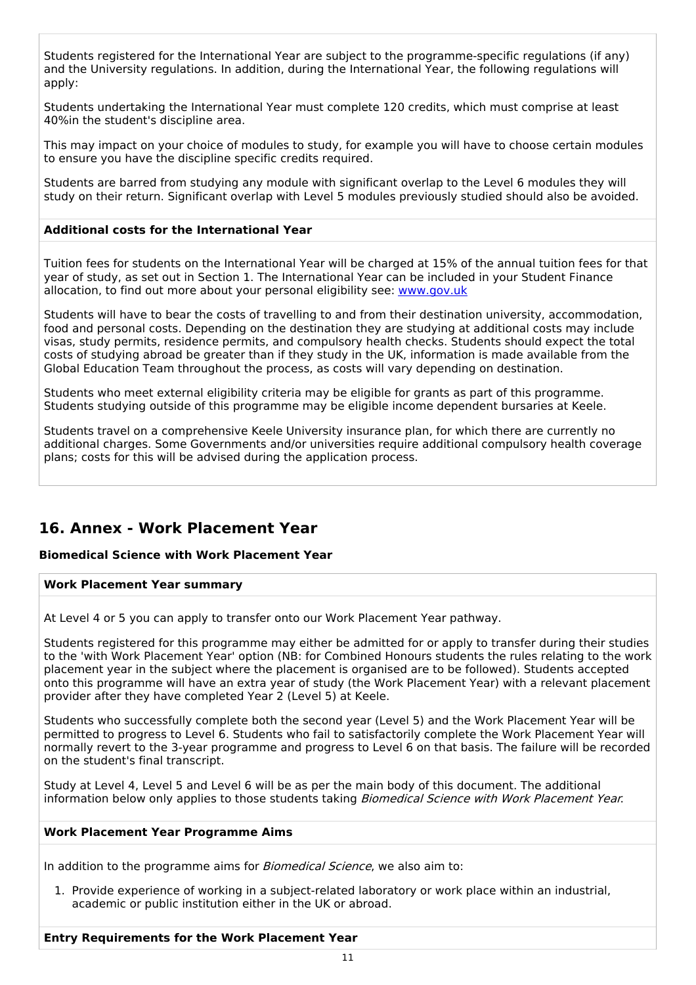Students registered for the International Year are subject to the programme-specific regulations (if any) and the University regulations. In addition, during the International Year, the following regulations will apply:

Students undertaking the International Year must complete 120 credits, which must comprise at least 40%in the student's discipline area.

This may impact on your choice of modules to study, for example you will have to choose certain modules to ensure you have the discipline specific credits required.

Students are barred from studying any module with significant overlap to the Level 6 modules they will study on their return. Significant overlap with Level 5 modules previously studied should also be avoided.

### **Additional costs for the International Year**

Tuition fees for students on the International Year will be charged at 15% of the annual tuition fees for that year of study, as set out in Section 1. The International Year can be included in your Student Finance allocation, to find out more about your personal eligibility see: [www.gov.uk](http://www.gov.uk/)

Students will have to bear the costs of travelling to and from their destination university, accommodation, food and personal costs. Depending on the destination they are studying at additional costs may include visas, study permits, residence permits, and compulsory health checks. Students should expect the total costs of studying abroad be greater than if they study in the UK, information is made available from the Global Education Team throughout the process, as costs will vary depending on destination.

Students who meet external eligibility criteria may be eligible for grants as part of this programme. Students studying outside of this programme may be eligible income dependent bursaries at Keele.

Students travel on a comprehensive Keele University insurance plan, for which there are currently no additional charges. Some Governments and/or universities require additional compulsory health coverage plans; costs for this will be advised during the application process.

# **16. Annex - Work Placement Year**

### **Biomedical Science with Work Placement Year**

#### **Work Placement Year summary**

At Level 4 or 5 you can apply to transfer onto our Work Placement Year pathway.

Students registered for this programme may either be admitted for or apply to transfer during their studies to the 'with Work Placement Year' option (NB: for Combined Honours students the rules relating to the work placement year in the subject where the placement is organised are to be followed). Students accepted onto this programme will have an extra year of study (the Work Placement Year) with a relevant placement provider after they have completed Year 2 (Level 5) at Keele.

Students who successfully complete both the second year (Level 5) and the Work Placement Year will be permitted to progress to Level 6. Students who fail to satisfactorily complete the Work Placement Year will normally revert to the 3-year programme and progress to Level 6 on that basis. The failure will be recorded on the student's final transcript.

Study at Level 4, Level 5 and Level 6 will be as per the main body of this document. The additional information below only applies to those students taking Biomedical Science with Work Placement Year.

#### **Work Placement Year Programme Aims**

In addition to the programme aims for *Biomedical Science*, we also aim to:

1. Provide experience of working in a subject-related laboratory or work place within an industrial, academic or public institution either in the UK or abroad.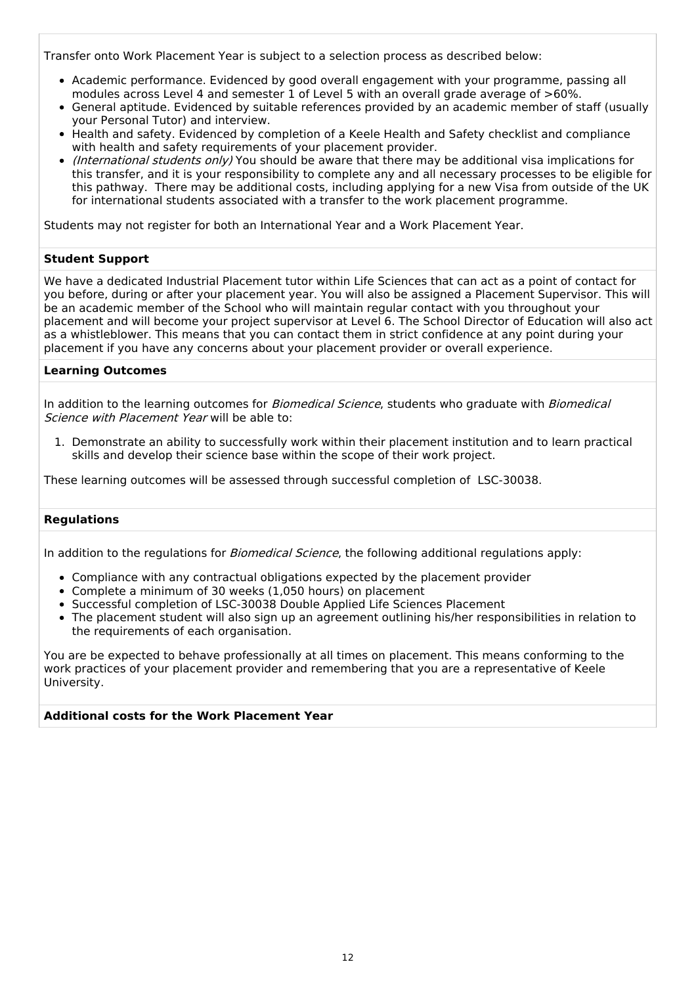Transfer onto Work Placement Year is subject to a selection process as described below:

- Academic performance. Evidenced by good overall engagement with your programme, passing all modules across Level 4 and semester 1 of Level 5 with an overall grade average of >60%.
- General aptitude. Evidenced by suitable references provided by an academic member of staff (usually your Personal Tutor) and interview.
- Health and safety. Evidenced by completion of a Keele Health and Safety checklist and compliance with health and safety requirements of your placement provider.
- *(International students only)* You should be aware that there may be additional visa implications for this transfer, and it is your responsibility to complete any and all necessary processes to be eligible for this pathway. There may be additional costs, including applying for a new Visa from outside of the UK for international students associated with a transfer to the work placement programme.

Students may not register for both an International Year and a Work Placement Year.

### **Student Support**

We have a dedicated Industrial Placement tutor within Life Sciences that can act as a point of contact for you before, during or after your placement year. You will also be assigned a Placement Supervisor. This will be an academic member of the School who will maintain regular contact with you throughout your placement and will become your project supervisor at Level 6. The School Director of Education will also act as a whistleblower. This means that you can contact them in strict confidence at any point during your placement if you have any concerns about your placement provider or overall experience.

### **Learning Outcomes**

In addition to the learning outcomes for *Biomedical Science*, students who graduate with *Biomedical* Science with Placement Year will be able to:

1. Demonstrate an ability to successfully work within their placement institution and to learn practical skills and develop their science base within the scope of their work project.

These learning outcomes will be assessed through successful completion of LSC-30038.

#### **Regulations**

In addition to the regulations for *Biomedical Science*, the following additional regulations apply:

- Compliance with any contractual obligations expected by the placement provider
- Complete a minimum of 30 weeks (1,050 hours) on placement
- Successful completion of LSC-30038 Double Applied Life Sciences Placement
- The placement student will also sign up an agreement outlining his/her responsibilities in relation to the requirements of each organisation.

You are be expected to behave professionally at all times on placement. This means conforming to the work practices of your placement provider and remembering that you are a representative of Keele University.

### **Additional costs for the Work Placement Year**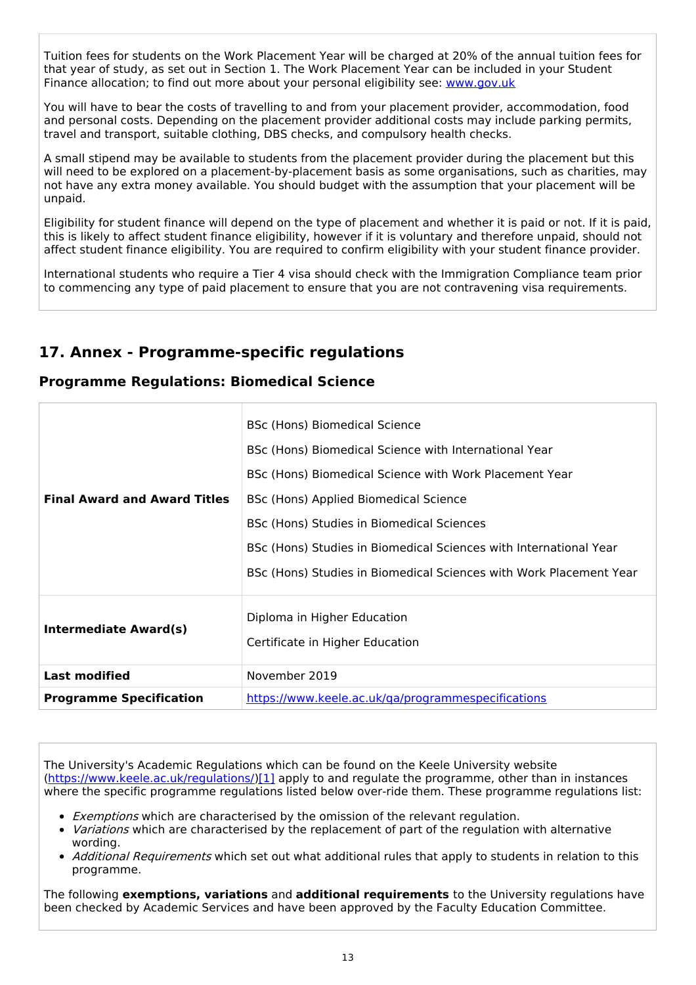Tuition fees for students on the Work Placement Year will be charged at 20% of the annual tuition fees for that year of study, as set out in Section 1. The Work Placement Year can be included in your Student Finance allocation; to find out more about your personal eligibility see: [www.gov.uk](http://www.gov.uk/)

You will have to bear the costs of travelling to and from your placement provider, accommodation, food and personal costs. Depending on the placement provider additional costs may include parking permits, travel and transport, suitable clothing, DBS checks, and compulsory health checks.

A small stipend may be available to students from the placement provider during the placement but this will need to be explored on a placement-by-placement basis as some organisations, such as charities, may not have any extra money available. You should budget with the assumption that your placement will be unpaid.

Eligibility for student finance will depend on the type of placement and whether it is paid or not. If it is paid, this is likely to affect student finance eligibility, however if it is voluntary and therefore unpaid, should not affect student finance eligibility. You are required to confirm eligibility with your student finance provider.

International students who require a Tier 4 visa should check with the Immigration Compliance team prior to commencing any type of paid placement to ensure that you are not contravening visa requirements.

# **17. Annex - Programme-specific regulations**

## **Programme Regulations: Biomedical Science**

| <b>Final Award and Award Titles</b> | BSc (Hons) Biomedical Science<br>BSc (Hons) Biomedical Science with International Year<br>BSc (Hons) Biomedical Science with Work Placement Year<br>BSc (Hons) Applied Biomedical Science<br>BSc (Hons) Studies in Biomedical Sciences<br>BSc (Hons) Studies in Biomedical Sciences with International Year<br>BSc (Hons) Studies in Biomedical Sciences with Work Placement Year |
|-------------------------------------|-----------------------------------------------------------------------------------------------------------------------------------------------------------------------------------------------------------------------------------------------------------------------------------------------------------------------------------------------------------------------------------|
| <b>Intermediate Award(s)</b>        | Diploma in Higher Education<br>Certificate in Higher Education                                                                                                                                                                                                                                                                                                                    |
| <b>Last modified</b>                | November 2019                                                                                                                                                                                                                                                                                                                                                                     |
| <b>Programme Specification</b>      | https://www.keele.ac.uk/ga/programmespecifications                                                                                                                                                                                                                                                                                                                                |

The University's Academic Regulations which can be found on the Keele University website [\(https://www.keele.ac.uk/regulations/](https://www.keele.ac.uk/regulations/)[\)\[1\]](https://scims-api.keele.ac.uk/#_ftn1) apply to and regulate the programme, other than in instances where the specific programme regulations listed below over-ride them. These programme regulations list:

- Exemptions which are characterised by the omission of the relevant regulation.
- Variations which are characterised by the replacement of part of the regulation with alternative wording.
- Additional Requirements which set out what additional rules that apply to students in relation to this programme.

The following **exemptions, variations** and **additional requirements** to the University regulations have been checked by Academic Services and have been approved by the Faculty Education Committee.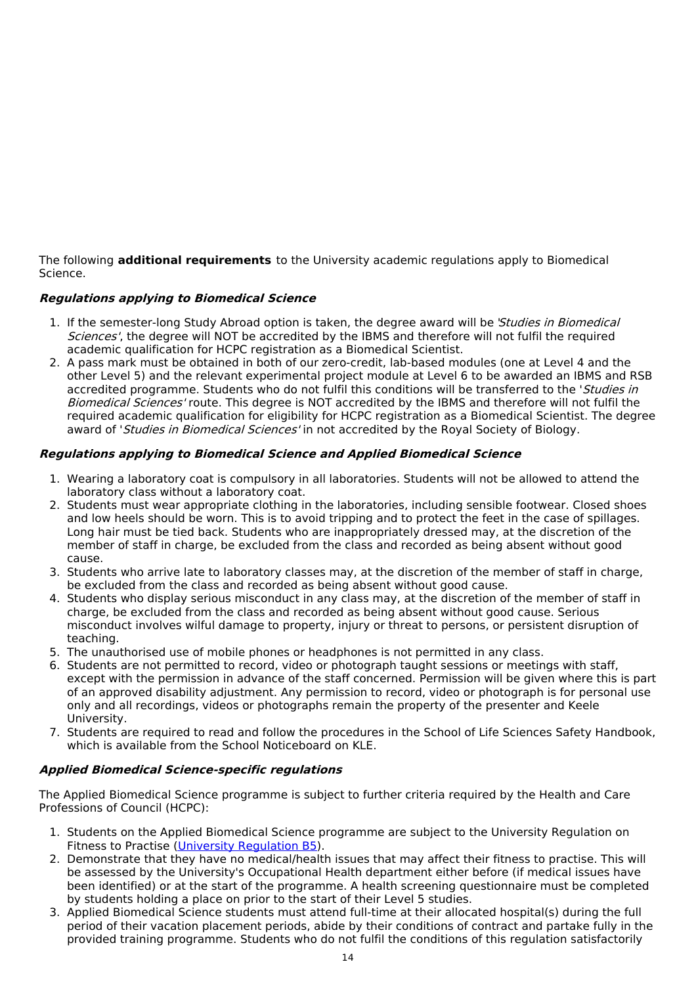The following **additional requirements** to the University academic regulations apply to Biomedical Science.

### **Regulations applying to Biomedical Science**

- 1. If the semester-long Study Abroad option is taken, the degree award will be 'Studies in Biomedical Sciences', the degree will NOT be accredited by the IBMS and therefore will not fulfil the required academic qualification for HCPC registration as a Biomedical Scientist.
- 2. A pass mark must be obtained in both of our zero-credit, lab-based modules (one at Level 4 and the other Level 5) and the relevant experimental project module at Level 6 to be awarded an IBMS and RSB accredited programme. Students who do not fulfil this conditions will be transferred to the 'Studies in Biomedical Sciences' route. This degree is NOT accredited by the IBMS and therefore will not fulfil the required academic qualification for eligibility for HCPC registration as a Biomedical Scientist. The degree award of 'Studies in Biomedical Sciences' in not accredited by the Royal Society of Biology.

### **Regulations applying to Biomedical Science and Applied Biomedical Science**

- 1. Wearing a laboratory coat is compulsory in all laboratories. Students will not be allowed to attend the laboratory class without a laboratory coat.
- 2. Students must wear appropriate clothing in the laboratories, including sensible footwear. Closed shoes and low heels should be worn. This is to avoid tripping and to protect the feet in the case of spillages. Long hair must be tied back. Students who are inappropriately dressed may, at the discretion of the member of staff in charge, be excluded from the class and recorded as being absent without good cause.
- 3. Students who arrive late to laboratory classes may, at the discretion of the member of staff in charge, be excluded from the class and recorded as being absent without good cause.
- 4. Students who display serious misconduct in any class may, at the discretion of the member of staff in charge, be excluded from the class and recorded as being absent without good cause. Serious misconduct involves wilful damage to property, injury or threat to persons, or persistent disruption of teaching.
- 5. The unauthorised use of mobile phones or headphones is not permitted in any class.
- 6. Students are not permitted to record, video or photograph taught sessions or meetings with staff, except with the permission in advance of the staff concerned. Permission will be given where this is part of an approved disability adjustment. Any permission to record, video or photograph is for personal use only and all recordings, videos or photographs remain the property of the presenter and Keele University.
- 7. Students are required to read and follow the procedures in the School of Life Sciences Safety Handbook, which is available from the School Noticeboard on KLE.

### **Applied Biomedical Science-specific regulations**

The Applied Biomedical Science programme is subject to further criteria required by the Health and Care Professions of Council (HCPC):

- 1. Students on the Applied Biomedical Science programme are subject to the University Regulation on Fitness to Practise (University [Regulation](https://www.keele.ac.uk/regulations/regulationb5/) B5).
- 2. Demonstrate that they have no medical/health issues that may affect their fitness to practise. This will be assessed by the University's Occupational Health department either before (if medical issues have been identified) or at the start of the programme. A health screening questionnaire must be completed by students holding a place on prior to the start of their Level 5 studies.
- 3. Applied Biomedical Science students must attend full-time at their allocated hospital(s) during the full period of their vacation placement periods, abide by their conditions of contract and partake fully in the provided training programme. Students who do not fulfil the conditions of this regulation satisfactorily